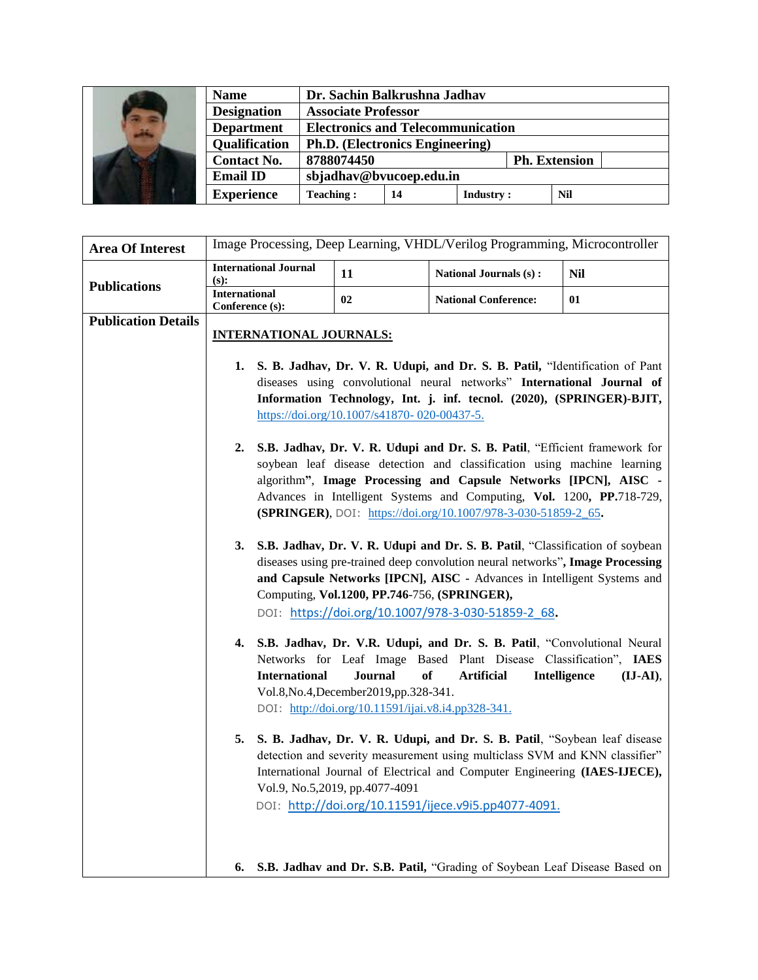| 匉 | <b>Name</b>          | Dr. Sachin Balkrushna Jadhav             |    |                      |  |
|---|----------------------|------------------------------------------|----|----------------------|--|
|   | <b>Designation</b>   | <b>Associate Professor</b>               |    |                      |  |
|   | <b>Department</b>    | <b>Electronics and Telecommunication</b> |    |                      |  |
|   | <b>Qualification</b> | <b>Ph.D.</b> (Electronics Engineering)   |    |                      |  |
|   | <b>Contact No.</b>   | 8788074450                               |    | <b>Ph. Extension</b> |  |
|   | <b>Email ID</b>      | sbjadhav@bvucoep.edu.in                  |    |                      |  |
|   | <b>Experience</b>    | <b>Teaching:</b>                         | 14 | <b>Industry:</b>     |  |

| <b>Area Of Interest</b>    | Image Processing, Deep Learning, VHDL/Verilog Programming, Microcontroller                                                                                  |                                                                                                |                                                                                                                                                          |                                                                           |  |
|----------------------------|-------------------------------------------------------------------------------------------------------------------------------------------------------------|------------------------------------------------------------------------------------------------|----------------------------------------------------------------------------------------------------------------------------------------------------------|---------------------------------------------------------------------------|--|
|                            | <b>International Journal</b><br>(s):                                                                                                                        | 11                                                                                             | National Journals (s):                                                                                                                                   | <b>Nil</b>                                                                |  |
| <b>Publications</b>        | <b>International</b><br>Conference (s):                                                                                                                     | 02                                                                                             | <b>National Conference:</b>                                                                                                                              | 01                                                                        |  |
| <b>Publication Details</b> | <b>INTERNATIONAL JOURNALS:</b>                                                                                                                              |                                                                                                |                                                                                                                                                          |                                                                           |  |
|                            |                                                                                                                                                             |                                                                                                |                                                                                                                                                          |                                                                           |  |
|                            | S. B. Jadhav, Dr. V. R. Udupi, and Dr. S. B. Patil, "Identification of Pant<br>1.<br>diseases using convolutional neural networks" International Journal of |                                                                                                |                                                                                                                                                          |                                                                           |  |
|                            | Information Technology, Int. j. inf. tecnol. (2020), (SPRINGER)-BJIT,                                                                                       |                                                                                                |                                                                                                                                                          |                                                                           |  |
|                            |                                                                                                                                                             | https://doi.org/10.1007/s41870-020-00437-5.                                                    |                                                                                                                                                          |                                                                           |  |
|                            |                                                                                                                                                             |                                                                                                | 2. S.B. Jadhav, Dr. V. R. Udupi and Dr. S. B. Patil, "Efficient framework for                                                                            |                                                                           |  |
|                            |                                                                                                                                                             |                                                                                                | soybean leaf disease detection and classification using machine learning                                                                                 |                                                                           |  |
|                            | algorithm", Image Processing and Capsule Networks [IPCN], AISC -                                                                                            |                                                                                                |                                                                                                                                                          |                                                                           |  |
|                            |                                                                                                                                                             |                                                                                                | Advances in Intelligent Systems and Computing, Vol. 1200, PP.718-729,<br>(SPRINGER), DOI: https://doi.org/10.1007/978-3-030-51859-2 65.                  |                                                                           |  |
|                            |                                                                                                                                                             |                                                                                                |                                                                                                                                                          |                                                                           |  |
|                            |                                                                                                                                                             |                                                                                                | 3. S.B. Jadhav, Dr. V. R. Udupi and Dr. S. B. Patil, "Classification of soybean                                                                          |                                                                           |  |
|                            | diseases using pre-trained deep convolution neural networks", Image Processing                                                                              |                                                                                                |                                                                                                                                                          |                                                                           |  |
|                            | and Capsule Networks [IPCN], AISC - Advances in Intelligent Systems and<br>Computing, Vol.1200, PP.746-756, (SPRINGER),                                     |                                                                                                |                                                                                                                                                          |                                                                           |  |
|                            |                                                                                                                                                             |                                                                                                | DOI: https://doi.org/10.1007/978-3-030-51859-2 68.                                                                                                       |                                                                           |  |
|                            | 4.                                                                                                                                                          |                                                                                                | S.B. Jadhav, Dr. V.R. Udupi, and Dr. S. B. Patil, "Convolutional Neural                                                                                  |                                                                           |  |
|                            |                                                                                                                                                             |                                                                                                | Networks for Leaf Image Based Plant Disease Classification", IAES                                                                                        |                                                                           |  |
|                            | <b>International</b>                                                                                                                                        | <b>Journal</b>                                                                                 | <b>of</b><br><b>Artificial</b>                                                                                                                           | Intelligence<br>$(\mathbf{I} \mathbf{J} \text{-} \mathbf{A} \mathbf{I}),$ |  |
|                            |                                                                                                                                                             | Vol.8, No.4, December 2019, pp. 328-341.<br>DOI: http://doi.org/10.11591/ijai.v8.i4.pp328-341. |                                                                                                                                                          |                                                                           |  |
|                            |                                                                                                                                                             |                                                                                                |                                                                                                                                                          |                                                                           |  |
|                            | 5.                                                                                                                                                          |                                                                                                | S. B. Jadhav, Dr. V. R. Udupi, and Dr. S. B. Patil, "Soybean leaf disease<br>detection and severity measurement using multiclass SVM and KNN classifier" |                                                                           |  |
|                            |                                                                                                                                                             |                                                                                                | International Journal of Electrical and Computer Engineering (IAES-IJECE),                                                                               |                                                                           |  |
|                            |                                                                                                                                                             | Vol.9, No.5,2019, pp.4077-4091                                                                 |                                                                                                                                                          |                                                                           |  |
|                            |                                                                                                                                                             |                                                                                                | DOI: http://doi.org/10.11591/ijece.v9i5.pp4077-4091.                                                                                                     |                                                                           |  |
|                            |                                                                                                                                                             |                                                                                                |                                                                                                                                                          |                                                                           |  |
|                            |                                                                                                                                                             |                                                                                                |                                                                                                                                                          |                                                                           |  |
|                            | 6.                                                                                                                                                          |                                                                                                | S.B. Jadhav and Dr. S.B. Patil, "Grading of Soybean Leaf Disease Based on                                                                                |                                                                           |  |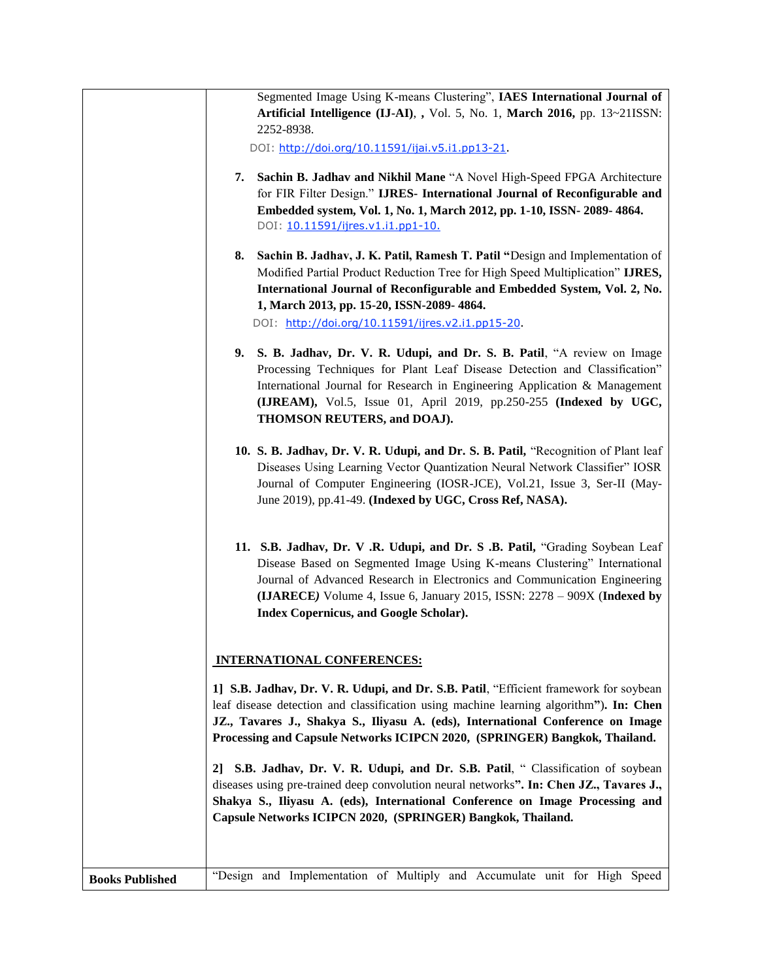|                        | Segmented Image Using K-means Clustering", IAES International Journal of<br>Artificial Intelligence (IJ-AI), , Vol. 5, No. 1, March 2016, pp. 13~21ISSN:<br>2252-8938.                                                                                                                                                                                             |
|------------------------|--------------------------------------------------------------------------------------------------------------------------------------------------------------------------------------------------------------------------------------------------------------------------------------------------------------------------------------------------------------------|
|                        | DOI: http://doi.org/10.11591/ijai.v5.i1.pp13-21.                                                                                                                                                                                                                                                                                                                   |
|                        | Sachin B. Jadhav and Nikhil Mane "A Novel High-Speed FPGA Architecture<br>7.<br>for FIR Filter Design." IJRES- International Journal of Reconfigurable and<br>Embedded system, Vol. 1, No. 1, March 2012, pp. 1-10, ISSN- 2089-4864.<br>DOI: 10.11591/ijres.v1.i1.pp1-10.                                                                                          |
|                        | 8.<br>Sachin B. Jadhav, J. K. Patil, Ramesh T. Patil "Design and Implementation of<br>Modified Partial Product Reduction Tree for High Speed Multiplication" IJRES,<br>International Journal of Reconfigurable and Embedded System, Vol. 2, No.<br>1, March 2013, pp. 15-20, ISSN-2089-4864.<br>DOI: http://doi.org/10.11591/ijres.v2.i1.pp15-20.                  |
|                        | 9. S. B. Jadhav, Dr. V. R. Udupi, and Dr. S. B. Patil, "A review on Image<br>Processing Techniques for Plant Leaf Disease Detection and Classification"<br>International Journal for Research in Engineering Application & Management<br>(IJREAM), Vol.5, Issue 01, April 2019, pp.250-255 (Indexed by UGC,<br>THOMSON REUTERS, and DOAJ).                         |
|                        | 10. S. B. Jadhav, Dr. V. R. Udupi, and Dr. S. B. Patil, "Recognition of Plant leaf<br>Diseases Using Learning Vector Quantization Neural Network Classifier" IOSR<br>Journal of Computer Engineering (IOSR-JCE), Vol.21, Issue 3, Ser-II (May-<br>June 2019), pp.41-49. (Indexed by UGC, Cross Ref, NASA).                                                         |
|                        | 11. S.B. Jadhav, Dr. V .R. Udupi, and Dr. S .B. Patil, "Grading Soybean Leaf<br>Disease Based on Segmented Image Using K-means Clustering" International<br>Journal of Advanced Research in Electronics and Communication Engineering<br>(IJARECE) Volume 4, Issue 6, January 2015, ISSN: 2278 - 909X (Indexed by<br><b>Index Copernicus, and Google Scholar).</b> |
|                        | <b>INTERNATIONAL CONFERENCES:</b>                                                                                                                                                                                                                                                                                                                                  |
|                        | 1] S.B. Jadhav, Dr. V. R. Udupi, and Dr. S.B. Patil, "Efficient framework for soybean<br>leaf disease detection and classification using machine learning algorithm"). In: Chen<br>JZ., Tavares J., Shakya S., Iliyasu A. (eds), International Conference on Image<br>Processing and Capsule Networks ICIPCN 2020, (SPRINGER) Bangkok, Thailand.                   |
|                        | S.B. Jadhav, Dr. V. R. Udupi, and Dr. S.B. Patil, " Classification of soybean<br>2  <br>diseases using pre-trained deep convolution neural networks". In: Chen JZ., Tavares J.,<br>Shakya S., Iliyasu A. (eds), International Conference on Image Processing and<br>Capsule Networks ICIPCN 2020, (SPRINGER) Bangkok, Thailand.                                    |
| <b>Books Published</b> | "Design and Implementation of Multiply and Accumulate unit for High Speed                                                                                                                                                                                                                                                                                          |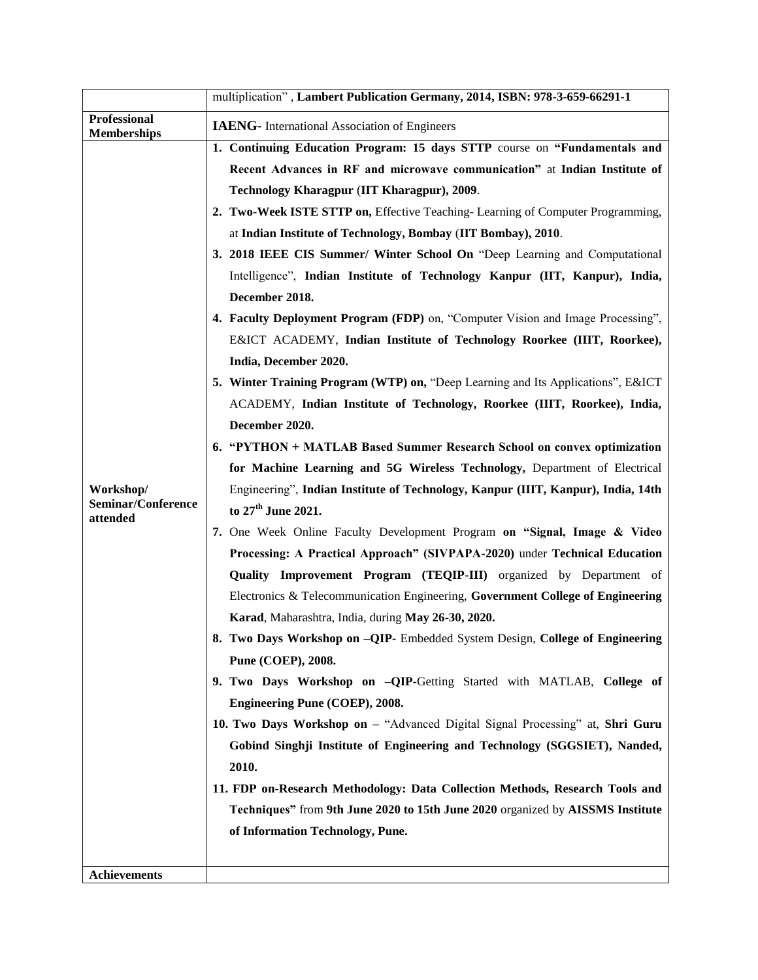|                                           | multiplication", Lambert Publication Germany, 2014, ISBN: 978-3-659-66291-1      |  |  |  |
|-------------------------------------------|----------------------------------------------------------------------------------|--|--|--|
| <b>Professional</b><br><b>Memberships</b> | <b>IAENG</b> - International Association of Engineers                            |  |  |  |
|                                           | 1. Continuing Education Program: 15 days STTP course on "Fundamentals and        |  |  |  |
|                                           | Recent Advances in RF and microwave communication" at Indian Institute of        |  |  |  |
|                                           | Technology Kharagpur (IIT Kharagpur), 2009.                                      |  |  |  |
|                                           | 2. Two-Week ISTE STTP on, Effective Teaching-Learning of Computer Programming,   |  |  |  |
|                                           | at Indian Institute of Technology, Bombay (IIT Bombay), 2010.                    |  |  |  |
|                                           | 3. 2018 IEEE CIS Summer/ Winter School On "Deep Learning and Computational       |  |  |  |
|                                           | Intelligence", Indian Institute of Technology Kanpur (IIT, Kanpur), India,       |  |  |  |
|                                           | December 2018.                                                                   |  |  |  |
|                                           | 4. Faculty Deployment Program (FDP) on, "Computer Vision and Image Processing",  |  |  |  |
|                                           | E&ICT ACADEMY, Indian Institute of Technology Roorkee (IIIT, Roorkee),           |  |  |  |
|                                           | India, December 2020.                                                            |  |  |  |
|                                           | 5. Winter Training Program (WTP) on, "Deep Learning and Its Applications", E&ICT |  |  |  |
|                                           | ACADEMY, Indian Institute of Technology, Roorkee (IIIT, Roorkee), India,         |  |  |  |
|                                           | December 2020.                                                                   |  |  |  |
|                                           | 6. "PYTHON + MATLAB Based Summer Research School on convex optimization          |  |  |  |
|                                           | for Machine Learning and 5G Wireless Technology, Department of Electrical        |  |  |  |
| Workshop/                                 | Engineering", Indian Institute of Technology, Kanpur (IIIT, Kanpur), India, 14th |  |  |  |
| Seminar/Conference<br>attended            | to 27 <sup>th</sup> June 2021.                                                   |  |  |  |
|                                           | 7. One Week Online Faculty Development Program on "Signal, Image & Video"        |  |  |  |
|                                           | Processing: A Practical Approach" (SIVPAPA-2020) under Technical Education       |  |  |  |
|                                           | Quality Improvement Program (TEQIP-III) organized by Department of               |  |  |  |
|                                           | Electronics & Telecommunication Engineering, Government College of Engineering   |  |  |  |
|                                           | Karad, Maharashtra, India, during May 26-30, 2020.                               |  |  |  |
|                                           | 8. Two Days Workshop on -QIP- Embedded System Design, College of Engineering     |  |  |  |
|                                           | Pune (COEP), 2008.                                                               |  |  |  |
|                                           | 9. Two Days Workshop on -QIP-Getting Started with MATLAB, College of             |  |  |  |
|                                           | Engineering Pune (COEP), 2008.                                                   |  |  |  |
|                                           | 10. Two Days Workshop on - "Advanced Digital Signal Processing" at, Shri Guru    |  |  |  |
|                                           | Gobind Singhji Institute of Engineering and Technology (SGGSIET), Nanded,        |  |  |  |
|                                           | 2010.                                                                            |  |  |  |
|                                           | 11. FDP on-Research Methodology: Data Collection Methods, Research Tools and     |  |  |  |
|                                           | Techniques" from 9th June 2020 to 15th June 2020 organized by AISSMS Institute   |  |  |  |
|                                           | of Information Technology, Pune.                                                 |  |  |  |
|                                           |                                                                                  |  |  |  |
| <b>Achievements</b>                       |                                                                                  |  |  |  |